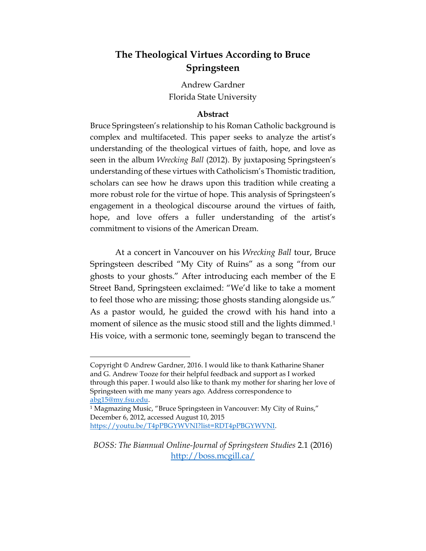# **The Theological Virtues According to Bruce Springsteen**

Andrew Gardner Florida State University

## **Abstract**

Bruce Springsteen's relationship to his Roman Catholic background is complex and multifaceted. This paper seeks to analyze the artist's understanding of the theological virtues of faith, hope, and love as seen in the album *Wrecking Ball* (2012). By juxtaposing Springsteen's understanding of these virtues with Catholicism's Thomistic tradition, scholars can see how he draws upon this tradition while creating a more robust role for the virtue of hope. This analysis of Springsteen's engagement in a theological discourse around the virtues of faith, hope, and love offers a fuller understanding of the artist's commitment to visions of the American Dream.

At a concert in Vancouver on his *Wrecking Ball* tour, Bruce Springsteen described "My City of Ruins" as a song "from our ghosts to your ghosts." After introducing each member of the E Street Band, Springsteen exclaimed: "We'd like to take a moment to feel those who are missing; those ghosts standing alongside us." As a pastor would, he guided the crowd with his hand into a moment of silence as the music stood still and the lights dimmed.<sup>1</sup> His voice, with a sermonic tone, seemingly began to transcend the

Copyright © Andrew Gardner, 2016. I would like to thank Katharine Shaner and G. Andrew Tooze for their helpful feedback and support as I worked through this paper. I would also like to thank my mother for sharing her love of Springsteen with me many years ago. Address correspondence to [abg15@my.fsu.edu.](mailto:abg15@my.fsu.edu)

<sup>&</sup>lt;sup>1</sup> Magmazing Music, "Bruce Springsteen in Vancouver: My City of Ruins," December 6, 2012, accessed August 10, 2015 [https://youtu.be/T4pPBGYWVNI?list=RDT4pPBGYWVNI.](https://youtu.be/T4pPBGYWVNI?list=RDT4pPBGYWVNI)

*BOSS: The Biannual Online-Journal of Springsteen Studies* 2.1 (2016) <http://boss.mcgill.ca/>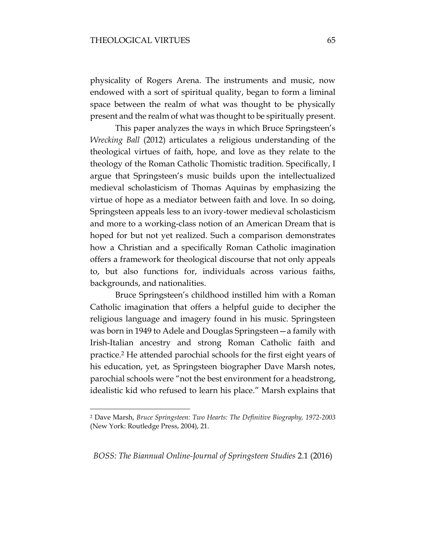$\overline{a}$ 

physicality of Rogers Arena. The instruments and music, now endowed with a sort of spiritual quality, began to form a liminal space between the realm of what was thought to be physically present and the realm of what was thought to be spiritually present.

This paper analyzes the ways in which Bruce Springsteen's *Wrecking Ball* (2012) articulates a religious understanding of the theological virtues of faith, hope, and love as they relate to the theology of the Roman Catholic Thomistic tradition. Specifically, I argue that Springsteen's music builds upon the intellectualized medieval scholasticism of Thomas Aquinas by emphasizing the virtue of hope as a mediator between faith and love. In so doing, Springsteen appeals less to an ivory-tower medieval scholasticism and more to a working-class notion of an American Dream that is hoped for but not yet realized. Such a comparison demonstrates how a Christian and a specifically Roman Catholic imagination offers a framework for theological discourse that not only appeals to, but also functions for, individuals across various faiths, backgrounds, and nationalities.

Bruce Springsteen's childhood instilled him with a Roman Catholic imagination that offers a helpful guide to decipher the religious language and imagery found in his music. Springsteen was born in 1949 to Adele and Douglas Springsteen—a family with Irish-Italian ancestry and strong Roman Catholic faith and practice.<sup>2</sup> He attended parochial schools for the first eight years of his education, yet, as Springsteen biographer Dave Marsh notes, parochial schools were "not the best environment for a headstrong, idealistic kid who refused to learn his place." Marsh explains that

<sup>2</sup> Dave Marsh, *Bruce Springsteen: Two Hearts: The Definitive Biography, 1972-2003* (New York: Routledge Press, 2004), 21.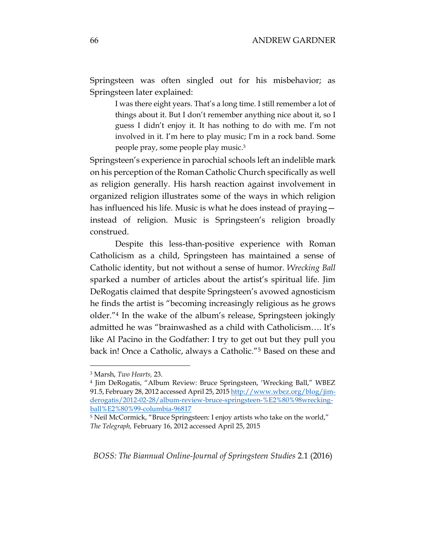Springsteen was often singled out for his misbehavior; as Springsteen later explained:

> I was there eight years. That's a long time. I still remember a lot of things about it. But I don't remember anything nice about it, so I guess I didn't enjoy it. It has nothing to do with me. I'm not involved in it. I'm here to play music; I'm in a rock band. Some people pray, some people play music.<sup>3</sup>

Springsteen's experience in parochial schools left an indelible mark on his perception of the Roman Catholic Church specifically as well as religion generally. His harsh reaction against involvement in organized religion illustrates some of the ways in which religion has influenced his life. Music is what he does instead of praying instead of religion. Music is Springsteen's religion broadly construed.

Despite this less-than-positive experience with Roman Catholicism as a child, Springsteen has maintained a sense of Catholic identity, but not without a sense of humor. *Wrecking Ball* sparked a number of articles about the artist's spiritual life. Jim DeRogatis claimed that despite Springsteen's avowed agnosticism he finds the artist is "becoming increasingly religious as he grows older."<sup>4</sup> In the wake of the album's release, Springsteen jokingly admitted he was "brainwashed as a child with Catholicism…. It's like Al Pacino in the Godfather: I try to get out but they pull you back in! Once a Catholic, always a Catholic."<sup>5</sup> Based on these and

<sup>3</sup> Marsh, *Two Hearts,* 23.

<sup>4</sup> Jim DeRogatis, "Album Review: Bruce Springsteen, 'Wrecking Ball," WBEZ 91.5, February 28, 2012 accessed April 25, 2015 [http://www.wbez.org/blog/jim](http://www.wbez.org/blog/jim-derogatis/2012-02-28/album-review-bruce-springsteen-%E2%80%98wrecking-ball%E2%80%99-columbia-96817)[derogatis/2012-02-28/album-review-bruce-springsteen-%E2%80%98wrecking](http://www.wbez.org/blog/jim-derogatis/2012-02-28/album-review-bruce-springsteen-%E2%80%98wrecking-ball%E2%80%99-columbia-96817)[ball%E2%80%99-columbia-96817](http://www.wbez.org/blog/jim-derogatis/2012-02-28/album-review-bruce-springsteen-%E2%80%98wrecking-ball%E2%80%99-columbia-96817) 

<sup>5</sup> Neil McCormick, "Bruce Springsteen: I enjoy artists who take on the world," *The Telegraph,* February 16, 2012 accessed April 25, 2015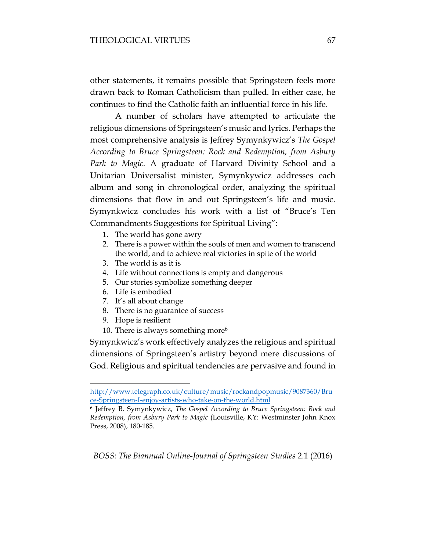other statements, it remains possible that Springsteen feels more drawn back to Roman Catholicism than pulled. In either case, he continues to find the Catholic faith an influential force in his life.

A number of scholars have attempted to articulate the religious dimensions of Springsteen's music and lyrics. Perhaps the most comprehensive analysis is Jeffrey Symynkywicz's *The Gospel According to Bruce Springsteen: Rock and Redemption, from Asbury Park to Magic.* A graduate of Harvard Divinity School and a Unitarian Universalist minister, Symynkywicz addresses each album and song in chronological order, analyzing the spiritual dimensions that flow in and out Springsteen's life and music. Symynkwicz concludes his work with a list of "Bruce's Ten Commandments Suggestions for Spiritual Living":

- 1. The world has gone awry
- 2. There is a power within the souls of men and women to transcend the world, and to achieve real victories in spite of the world
- 3. The world is as it is
- 4. Life without connections is empty and dangerous
- 5. Our stories symbolize something deeper
- 6. Life is embodied
- 7. It's all about change
- 8. There is no guarantee of success
- 9. Hope is resilient

 $\overline{a}$ 

10. There is always something more $6$ 

Symynkwicz's work effectively analyzes the religious and spiritual dimensions of Springsteen's artistry beyond mere discussions of God. Religious and spiritual tendencies are pervasive and found in

[http://www.telegraph.co.uk/culture/music/rockandpopmusic/9087360/Bru](http://www.telegraph.co.uk/culture/music/rockandpopmusic/9087360/Bruce-Springsteen-I-enjoy-artists-who-take-on-the-world.html) [ce-Springsteen-I-enjoy-artists-who-take-on-the-world.html](http://www.telegraph.co.uk/culture/music/rockandpopmusic/9087360/Bruce-Springsteen-I-enjoy-artists-who-take-on-the-world.html)

<sup>6</sup> Jeffrey B. Symynkywicz, *The Gospel According to Bruce Springsteen: Rock and Redemption, from Asbury Park to Magic* (Louisville, KY: Westminster John Knox Press, 2008), 180-185.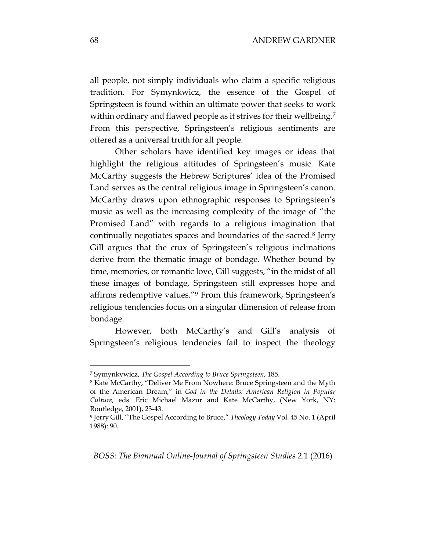all people, not simply individuals who claim a specific religious tradition. For Symynkwicz, the essence of the Gospel of Springsteen is found within an ultimate power that seeks to work within ordinary and flawed people as it strives for their wellbeing.<sup>7</sup> From this perspective, Springsteen's religious sentiments are offered as a universal truth for all people.

Other scholars have identified key images or ideas that highlight the religious attitudes of Springsteen's music. Kate McCarthy suggests the Hebrew Scriptures' idea of the Promised Land serves as the central religious image in Springsteen's canon. McCarthy draws upon ethnographic responses to Springsteen's music as well as the increasing complexity of the image of "the Promised Land" with regards to a religious imagination that continually negotiates spaces and boundaries of the sacred.<sup>8</sup> Jerry Gill argues that the crux of Springsteen's religious inclinations derive from the thematic image of bondage. Whether bound by time, memories, or romantic love, Gill suggests, "in the midst of all these images of bondage, Springsteen still expresses hope and affirms redemptive values."<sup>9</sup> From this framework, Springsteen's religious tendencies focus on a singular dimension of release from bondage.

However, both McCarthy's and Gill's analysis of Springsteen's religious tendencies fail to inspect the theology

<sup>7</sup> Symynkywicz, *The Gospel According to Bruce Springsteen*, 185.

<sup>8</sup> Kate McCarthy, "Deliver Me From Nowhere: Bruce Springsteen and the Myth of the American Dream," in *God in the Details: American Religion in Popular Culture,* eds. Eric Michael Mazur and Kate McCarthy, (New York, NY: Routledge, 2001), 23-43.

<sup>9</sup> Jerry Gill, "The Gospel According to Bruce," *Theology Today* Vol. 45 No. 1 (April 1988): 90.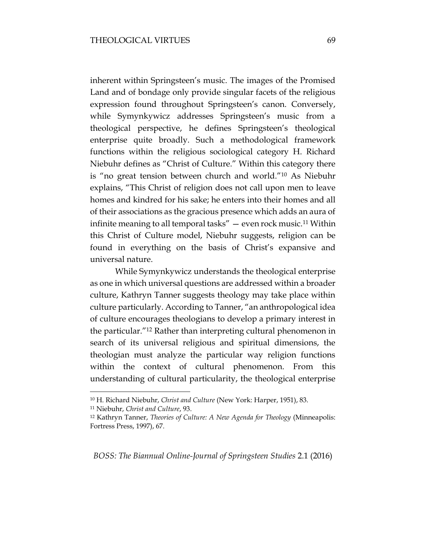inherent within Springsteen's music. The images of the Promised Land and of bondage only provide singular facets of the religious expression found throughout Springsteen's canon. Conversely, while Symynkywicz addresses Springsteen's music from a theological perspective, he defines Springsteen's theological enterprise quite broadly. Such a methodological framework functions within the religious sociological category H. Richard Niebuhr defines as "Christ of Culture." Within this category there is "no great tension between church and world."<sup>10</sup> As Niebuhr explains, "This Christ of religion does not call upon men to leave homes and kindred for his sake; he enters into their homes and all of their associations as the gracious presence which adds an aura of infinite meaning to all temporal tasks" — even rock music.<sup>11</sup> Within this Christ of Culture model, Niebuhr suggests, religion can be found in everything on the basis of Christ's expansive and universal nature.

While Symynkywicz understands the theological enterprise as one in which universal questions are addressed within a broader culture, Kathryn Tanner suggests theology may take place within culture particularly. According to Tanner, "an anthropological idea of culture encourages theologians to develop a primary interest in the particular."<sup>12</sup> Rather than interpreting cultural phenomenon in search of its universal religious and spiritual dimensions, the theologian must analyze the particular way religion functions within the context of cultural phenomenon. From this understanding of cultural particularity, the theological enterprise

<sup>10</sup> H. Richard Niebuhr, *Christ and Culture* (New York: Harper, 1951), 83.

<sup>11</sup> Niebuhr, *Christ and Culture*, 93.

<sup>12</sup> Kathryn Tanner, *Theories of Culture: A New Agenda for Theology* (Minneapolis: Fortress Press, 1997), 67.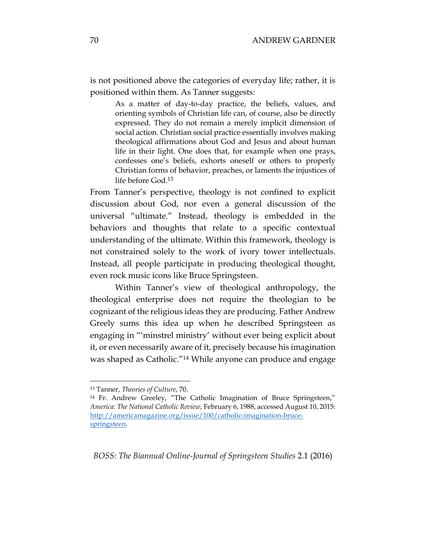is not positioned above the categories of everyday life; rather, it is positioned within them. As Tanner suggests:

> As a matter of day-to-day practice, the beliefs, values, and orienting symbols of Christian life can, of course, also be directly expressed. They do not remain a merely implicit dimension of social action. Christian social practice essentially involves making theological affirmations about God and Jesus and about human life in their light. One does that, for example when one prays, confesses one's beliefs, exhorts oneself or others to properly Christian forms of behavior, preaches, or laments the injustices of life before God.<sup>13</sup>

From Tanner's perspective, theology is not confined to explicit discussion about God, nor even a general discussion of the universal "ultimate." Instead, theology is embedded in the behaviors and thoughts that relate to a specific contextual understanding of the ultimate. Within this framework, theology is not constrained solely to the work of ivory tower intellectuals. Instead, all people participate in producing theological thought, even rock music icons like Bruce Springsteen.

Within Tanner's view of theological anthropology, the theological enterprise does not require the theologian to be cognizant of the religious ideas they are producing. Father Andrew Greely sums this idea up when he described Springsteen as engaging in "'minstrel ministry' without ever being explicit about it, or even necessarily aware of it, precisely because his imagination was shaped as Catholic."<sup>14</sup> While anyone can produce and engage

 $\overline{a}$ 

<sup>13</sup> Tanner, *Theories of Culture*, 70.

<sup>14</sup> Fr. Andrew Greeley, "The Catholic Imagination of Bruce Springsteen," *America: The National Catholic Review,* February 6, 1988, accessed August 10, 2015: [http://americamagazine.org/issue/100/catholic-imagination-bruce](http://americamagazine.org/issue/100/catholic-imagination-bruce-springsteen)[springsteen.](http://americamagazine.org/issue/100/catholic-imagination-bruce-springsteen)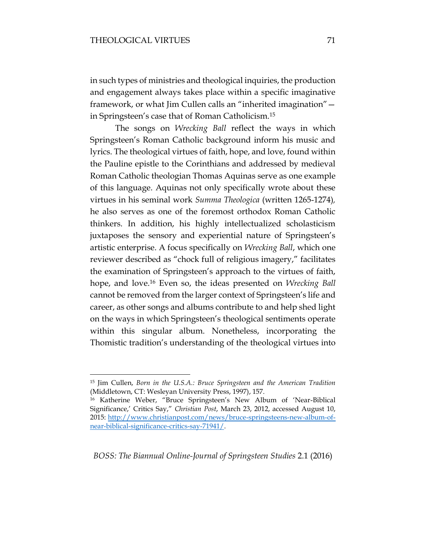$\overline{a}$ 

in such types of ministries and theological inquiries, the production and engagement always takes place within a specific imaginative framework, or what Jim Cullen calls an "inherited imagination" in Springsteen's case that of Roman Catholicism.<sup>15</sup>

The songs on *Wrecking Ball* reflect the ways in which Springsteen's Roman Catholic background inform his music and lyrics. The theological virtues of faith, hope, and love, found within the Pauline epistle to the Corinthians and addressed by medieval Roman Catholic theologian Thomas Aquinas serve as one example of this language. Aquinas not only specifically wrote about these virtues in his seminal work *Summa Theologica* (written 1265-1274)*,*  he also serves as one of the foremost orthodox Roman Catholic thinkers. In addition, his highly intellectualized scholasticism juxtaposes the sensory and experiential nature of Springsteen's artistic enterprise. A focus specifically on *Wrecking Ball*, which one reviewer described as "chock full of religious imagery," facilitates the examination of Springsteen's approach to the virtues of faith, hope, and love.<sup>16</sup> Even so, the ideas presented on *Wrecking Ball*  cannot be removed from the larger context of Springsteen's life and career, as other songs and albums contribute to and help shed light on the ways in which Springsteen's theological sentiments operate within this singular album. Nonetheless, incorporating the Thomistic tradition's understanding of the theological virtues into

<sup>15</sup> Jim Cullen, *Born in the U.S.A.: Bruce Springsteen and the American Tradition*  (Middletown, CT: Wesleyan University Press, 1997), 157.

<sup>&</sup>lt;sup>16</sup> Katherine Weber, "Bruce Springsteen's New Album of 'Near-Biblical Significance,' Critics Say," *Christian Post*, March 23, 2012, accessed August 10, 2015: [http://www.christianpost.com/news/bruce-springsteens-new-album-of](http://www.christianpost.com/news/bruce-springsteens-new-album-of-near-biblical-significance-critics-say-71941/)[near-biblical-significance-critics-say-71941/.](http://www.christianpost.com/news/bruce-springsteens-new-album-of-near-biblical-significance-critics-say-71941/)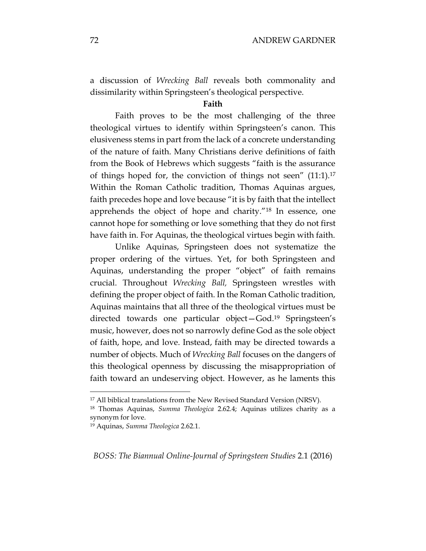a discussion of *Wrecking Ball* reveals both commonality and dissimilarity within Springsteen's theological perspective.

### **Faith**

Faith proves to be the most challenging of the three theological virtues to identify within Springsteen's canon. This elusiveness stems in part from the lack of a concrete understanding of the nature of faith. Many Christians derive definitions of faith from the Book of Hebrews which suggests "faith is the assurance of things hoped for, the conviction of things not seen" (11:1).<sup>17</sup> Within the Roman Catholic tradition, Thomas Aquinas argues, faith precedes hope and love because "it is by faith that the intellect apprehends the object of hope and charity."<sup>18</sup> In essence, one cannot hope for something or love something that they do not first have faith in. For Aquinas, the theological virtues begin with faith.

Unlike Aquinas, Springsteen does not systematize the proper ordering of the virtues. Yet, for both Springsteen and Aquinas, understanding the proper "object" of faith remains crucial. Throughout *Wrecking Ball,* Springsteen wrestles with defining the proper object of faith. In the Roman Catholic tradition, Aquinas maintains that all three of the theological virtues must be directed towards one particular object—God.<sup>19</sup> Springsteen's music, however, does not so narrowly define God as the sole object of faith, hope, and love. Instead, faith may be directed towards a number of objects. Much of *Wrecking Ball* focuses on the dangers of this theological openness by discussing the misappropriation of faith toward an undeserving object. However, as he laments this

 $\overline{a}$ 

<sup>17</sup> All biblical translations from the New Revised Standard Version (NRSV).

<sup>18</sup> Thomas Aquinas, *Summa Theologica* 2.62.4; Aquinas utilizes charity as a synonym for love.

<sup>19</sup> Aquinas, *Summa Theologica* 2.62.1.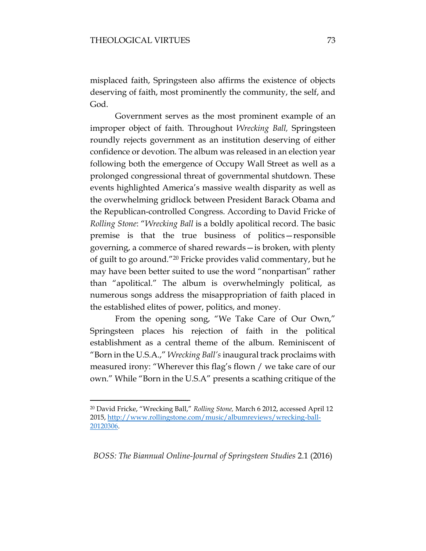$\overline{a}$ 

misplaced faith, Springsteen also affirms the existence of objects deserving of faith, most prominently the community, the self, and God.

Government serves as the most prominent example of an improper object of faith. Throughout *Wrecking Ball,* Springsteen roundly rejects government as an institution deserving of either confidence or devotion. The album was released in an election year following both the emergence of Occupy Wall Street as well as a prolonged congressional threat of governmental shutdown. These events highlighted America's massive wealth disparity as well as the overwhelming gridlock between President Barack Obama and the Republican-controlled Congress. According to David Fricke of *Rolling Stone*: "*Wrecking Ball* is a boldly apolitical record. The basic premise is that the true business of politics—responsible governing, a commerce of shared rewards—is broken, with plenty of guilt to go around."<sup>20</sup> Fricke provides valid commentary, but he may have been better suited to use the word "nonpartisan" rather than "apolitical." The album is overwhelmingly political, as numerous songs address the misappropriation of faith placed in the established elites of power, politics, and money.

From the opening song, "We Take Care of Our Own," Springsteen places his rejection of faith in the political establishment as a central theme of the album. Reminiscent of "Born in the U.S.A.," *Wrecking Ball's* inaugural track proclaims with measured irony: "Wherever this flag's flown / we take care of our own." While "Born in the U.S.A" presents a scathing critique of the

<sup>20</sup> David Fricke, "Wrecking Ball," *Rolling Stone,* March 6 2012, accessed April 12 2015[, http://www.rollingstone.com/music/albumreviews/wrecking-ball-](http://www.rollingstone.com/music/albumreviews/wrecking-ball-20120306)[20120306.](http://www.rollingstone.com/music/albumreviews/wrecking-ball-20120306)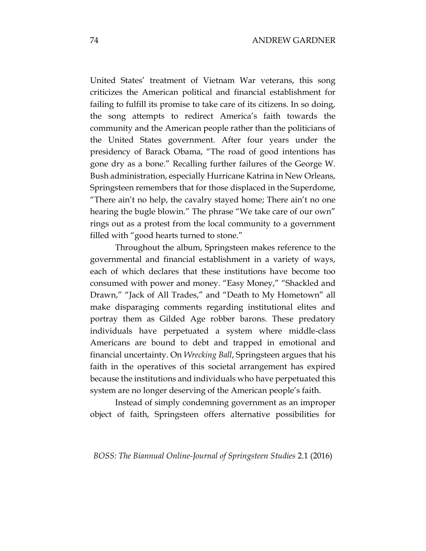United States' treatment of Vietnam War veterans, this song criticizes the American political and financial establishment for failing to fulfill its promise to take care of its citizens. In so doing, the song attempts to redirect America's faith towards the community and the American people rather than the politicians of the United States government. After four years under the presidency of Barack Obama, "The road of good intentions has gone dry as a bone." Recalling further failures of the George W. Bush administration, especially Hurricane Katrina in New Orleans, Springsteen remembers that for those displaced in the Superdome, "There ain't no help, the cavalry stayed home; There ain't no one hearing the bugle blowin." The phrase "We take care of our own" rings out as a protest from the local community to a government filled with "good hearts turned to stone."

Throughout the album, Springsteen makes reference to the governmental and financial establishment in a variety of ways, each of which declares that these institutions have become too consumed with power and money. "Easy Money," "Shackled and Drawn," "Jack of All Trades," and "Death to My Hometown" all make disparaging comments regarding institutional elites and portray them as Gilded Age robber barons. These predatory individuals have perpetuated a system where middle-class Americans are bound to debt and trapped in emotional and financial uncertainty. On *Wrecking Ball*, Springsteen argues that his faith in the operatives of this societal arrangement has expired because the institutions and individuals who have perpetuated this system are no longer deserving of the American people's faith.

Instead of simply condemning government as an improper object of faith, Springsteen offers alternative possibilities for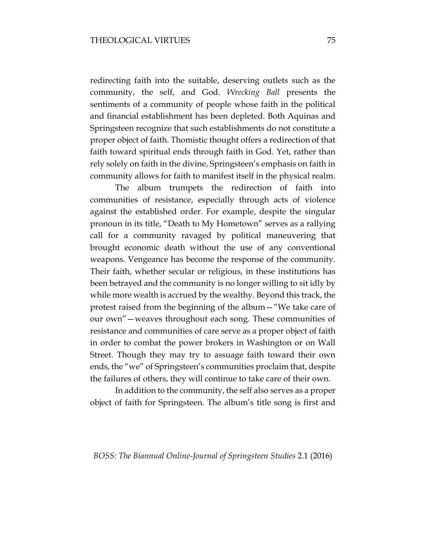redirecting faith into the suitable, deserving outlets such as the community, the self, and God. *Wrecking Ball* presents the sentiments of a community of people whose faith in the political and financial establishment has been depleted. Both Aquinas and Springsteen recognize that such establishments do not constitute a proper object of faith. Thomistic thought offers a redirection of that faith toward spiritual ends through faith in God. Yet, rather than rely solely on faith in the divine, Springsteen's emphasis on faith in community allows for faith to manifest itself in the physical realm.

The album trumpets the redirection of faith into communities of resistance, especially through acts of violence against the established order. For example, despite the singular pronoun in its title, "Death to My Hometown" serves as a rallying call for a community ravaged by political maneuvering that brought economic death without the use of any conventional weapons. Vengeance has become the response of the community. Their faith, whether secular or religious, in these institutions has been betrayed and the community is no longer willing to sit idly by while more wealth is accrued by the wealthy. Beyond this track, the protest raised from the beginning of the album—"We take care of our own"—weaves throughout each song. These communities of resistance and communities of care serve as a proper object of faith in order to combat the power brokers in Washington or on Wall Street. Though they may try to assuage faith toward their own ends, the "we" of Springsteen's communities proclaim that, despite the failures of others, they will continue to take care of their own.

In addition to the community, the self also serves as a proper object of faith for Springsteen. The album's title song is first and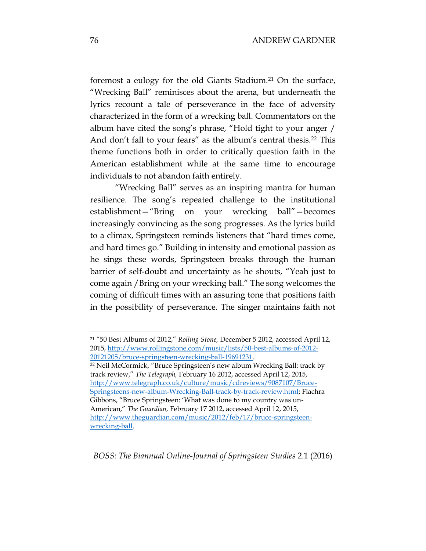foremost a eulogy for the old Giants Stadium.<sup>21</sup> On the surface, "Wrecking Ball" reminisces about the arena, but underneath the lyrics recount a tale of perseverance in the face of adversity characterized in the form of a wrecking ball. Commentators on the album have cited the song's phrase, "Hold tight to your anger / And don't fall to your fears" as the album's central thesis.<sup>22</sup> This theme functions both in order to critically question faith in the American establishment while at the same time to encourage individuals to not abandon faith entirely.

"Wrecking Ball" serves as an inspiring mantra for human resilience. The song's repeated challenge to the institutional establishment—"Bring on your wrecking ball"—becomes increasingly convincing as the song progresses. As the lyrics build to a climax, Springsteen reminds listeners that "hard times come, and hard times go." Building in intensity and emotional passion as he sings these words, Springsteen breaks through the human barrier of self-doubt and uncertainty as he shouts, "Yeah just to come again /Bring on your wrecking ball." The song welcomes the coming of difficult times with an assuring tone that positions faith in the possibility of perseverance. The singer maintains faith not

*BOSS: The Biannual Online-Journal of Springsteen Studies* 2.1 (2016)

<sup>21</sup> "50 Best Albums of 2012," *Rolling Stone,* December 5 2012, accessed April 12, 2015, [http://www.rollingstone.com/music/lists/50-best-albums-of-2012-](http://www.rollingstone.com/music/lists/50-best-albums-of-2012-20121205/bruce-springsteen-wrecking-ball-19691231) [20121205/bruce-springsteen-wrecking-ball-19691231.](http://www.rollingstone.com/music/lists/50-best-albums-of-2012-20121205/bruce-springsteen-wrecking-ball-19691231)

<sup>22</sup> Neil McCormick, "Bruce Springsteen's new album Wrecking Ball: track by track review," *The Telegraph,* February 16 2012, accessed April 12, 2015, [http://www.telegraph.co.uk/culture/music/cdreviews/9087107/Bruce-](http://www.telegraph.co.uk/culture/music/cdreviews/9087107/Bruce-Springsteens-new-album-Wrecking-Ball-track-by-track-review.html)[Springsteens-new-album-Wrecking-Ball-track-by-track-review.html;](http://www.telegraph.co.uk/culture/music/cdreviews/9087107/Bruce-Springsteens-new-album-Wrecking-Ball-track-by-track-review.html) Fiachra Gibbons, "Bruce Springsteen: 'What was done to my country was un-American," *The Guardian,* February 17 2012, accessed April 12, 2015, [http://www.theguardian.com/music/2012/feb/17/bruce-springsteen](http://www.theguardian.com/music/2012/feb/17/bruce-springsteen-wrecking-ball)[wrecking-ball.](http://www.theguardian.com/music/2012/feb/17/bruce-springsteen-wrecking-ball)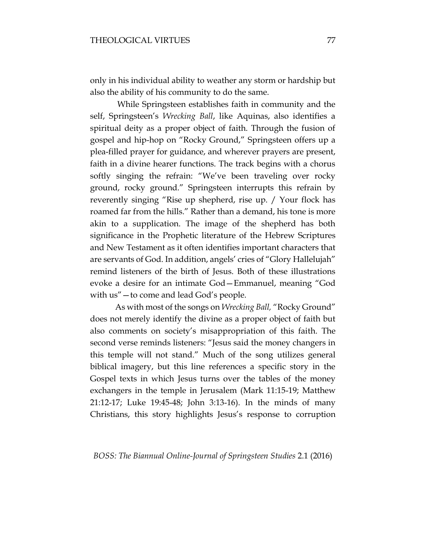only in his individual ability to weather any storm or hardship but also the ability of his community to do the same.

While Springsteen establishes faith in community and the self, Springsteen's *Wrecking Ball*, like Aquinas, also identifies a spiritual deity as a proper object of faith. Through the fusion of gospel and hip-hop on "Rocky Ground," Springsteen offers up a plea-filled prayer for guidance, and wherever prayers are present, faith in a divine hearer functions. The track begins with a chorus softly singing the refrain: "We've been traveling over rocky ground, rocky ground." Springsteen interrupts this refrain by reverently singing "Rise up shepherd, rise up. / Your flock has roamed far from the hills." Rather than a demand, his tone is more akin to a supplication. The image of the shepherd has both significance in the Prophetic literature of the Hebrew Scriptures and New Testament as it often identifies important characters that are servants of God. In addition, angels' cries of "Glory Hallelujah" remind listeners of the birth of Jesus. Both of these illustrations evoke a desire for an intimate God—Emmanuel, meaning "God with us"—to come and lead God's people.

As with most of the songs on *Wrecking Ball,* "Rocky Ground" does not merely identify the divine as a proper object of faith but also comments on society's misappropriation of this faith. The second verse reminds listeners: "Jesus said the money changers in this temple will not stand." Much of the song utilizes general biblical imagery, but this line references a specific story in the Gospel texts in which Jesus turns over the tables of the money exchangers in the temple in Jerusalem (Mark 11:15-19; Matthew 21:12-17; Luke 19:45-48; John 3:13-16). In the minds of many Christians, this story highlights Jesus's response to corruption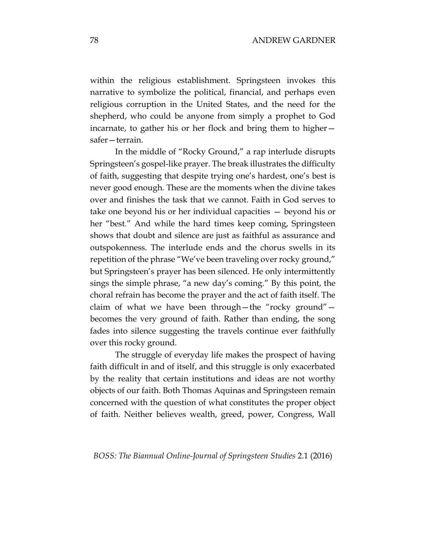within the religious establishment. Springsteen invokes this narrative to symbolize the political, financial, and perhaps even religious corruption in the United States, and the need for the shepherd, who could be anyone from simply a prophet to God incarnate, to gather his or her flock and bring them to higher safer—terrain.

In the middle of "Rocky Ground," a rap interlude disrupts Springsteen's gospel-like prayer. The break illustrates the difficulty of faith, suggesting that despite trying one's hardest, one's best is never good enough. These are the moments when the divine takes over and finishes the task that we cannot. Faith in God serves to take one beyond his or her individual capacities — beyond his or her "best." And while the hard times keep coming, Springsteen shows that doubt and silence are just as faithful as assurance and outspokenness. The interlude ends and the chorus swells in its repetition of the phrase "We've been traveling over rocky ground," but Springsteen's prayer has been silenced. He only intermittently sings the simple phrase, "a new day's coming." By this point, the choral refrain has become the prayer and the act of faith itself. The claim of what we have been through—the "rocky ground" becomes the very ground of faith. Rather than ending, the song fades into silence suggesting the travels continue ever faithfully over this rocky ground.

The struggle of everyday life makes the prospect of having faith difficult in and of itself, and this struggle is only exacerbated by the reality that certain institutions and ideas are not worthy objects of our faith. Both Thomas Aquinas and Springsteen remain concerned with the question of what constitutes the proper object of faith. Neither believes wealth, greed, power, Congress, Wall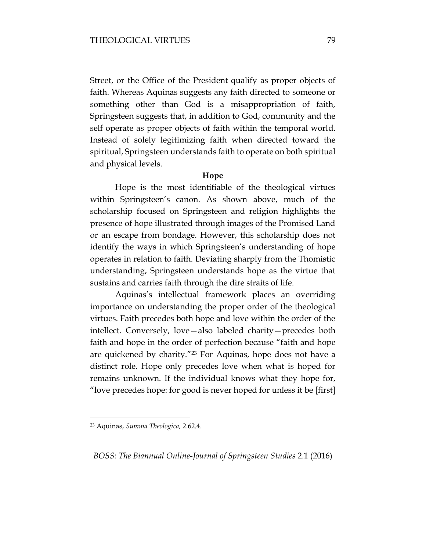Street, or the Office of the President qualify as proper objects of faith. Whereas Aquinas suggests any faith directed to someone or something other than God is a misappropriation of faith, Springsteen suggests that, in addition to God, community and the self operate as proper objects of faith within the temporal world. Instead of solely legitimizing faith when directed toward the spiritual, Springsteen understands faith to operate on both spiritual and physical levels.

#### **Hope**

Hope is the most identifiable of the theological virtues within Springsteen's canon. As shown above, much of the scholarship focused on Springsteen and religion highlights the presence of hope illustrated through images of the Promised Land or an escape from bondage. However, this scholarship does not identify the ways in which Springsteen's understanding of hope operates in relation to faith. Deviating sharply from the Thomistic understanding, Springsteen understands hope as the virtue that sustains and carries faith through the dire straits of life.

Aquinas's intellectual framework places an overriding importance on understanding the proper order of the theological virtues. Faith precedes both hope and love within the order of the intellect. Conversely, love—also labeled charity—precedes both faith and hope in the order of perfection because "faith and hope are quickened by charity."<sup>23</sup> For Aquinas, hope does not have a distinct role. Hope only precedes love when what is hoped for remains unknown. If the individual knows what they hope for, "love precedes hope: for good is never hoped for unless it be [first]

 $\overline{a}$ 

<sup>23</sup> Aquinas, *Summa Theologica,* 2.62.4.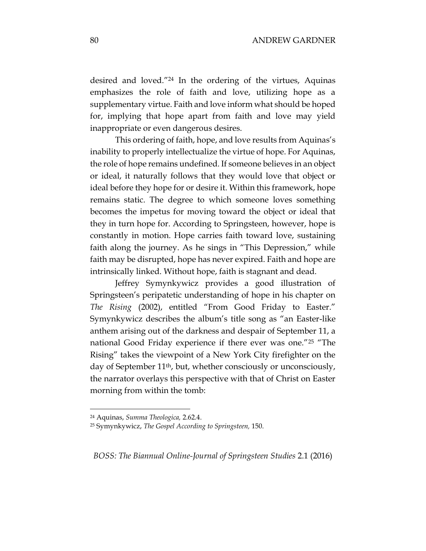desired and loved."<sup>24</sup> In the ordering of the virtues, Aquinas emphasizes the role of faith and love, utilizing hope as a supplementary virtue. Faith and love inform what should be hoped for, implying that hope apart from faith and love may yield inappropriate or even dangerous desires.

This ordering of faith, hope, and love results from Aquinas's inability to properly intellectualize the virtue of hope. For Aquinas, the role of hope remains undefined. If someone believes in an object or ideal, it naturally follows that they would love that object or ideal before they hope for or desire it. Within this framework, hope remains static. The degree to which someone loves something becomes the impetus for moving toward the object or ideal that they in turn hope for. According to Springsteen, however, hope is constantly in motion. Hope carries faith toward love, sustaining faith along the journey. As he sings in "This Depression," while faith may be disrupted, hope has never expired. Faith and hope are intrinsically linked. Without hope, faith is stagnant and dead.

Jeffrey Symynkywicz provides a good illustration of Springsteen's peripatetic understanding of hope in his chapter on *The Rising* (2002), entitled "From Good Friday to Easter." Symynkywicz describes the album's title song as "an Easter-like anthem arising out of the darkness and despair of September 11, a national Good Friday experience if there ever was one."<sup>25</sup> "The Rising" takes the viewpoint of a New York City firefighter on the day of September 11th, but, whether consciously or unconsciously, the narrator overlays this perspective with that of Christ on Easter morning from within the tomb:

 $\overline{a}$ 

<sup>24</sup> Aquinas, *Summa Theologica,* 2.62.4.

<sup>25</sup> Symynkywicz, *The Gospel According to Springsteen,* 150.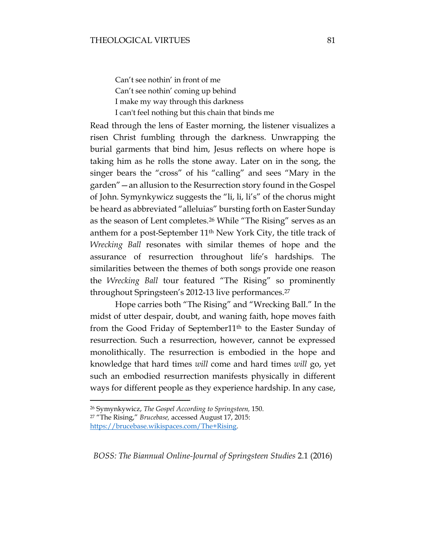Can't see nothin' in front of me Can't see nothin' coming up behind I make my way through this darkness I can't feel nothing but this chain that binds me

Read through the lens of Easter morning, the listener visualizes a risen Christ fumbling through the darkness. Unwrapping the burial garments that bind him, Jesus reflects on where hope is taking him as he rolls the stone away. Later on in the song, the singer bears the "cross" of his "calling" and sees "Mary in the garden"—an allusion to the Resurrection story found in the Gospel of John. Symynkywicz suggests the "li, li, li's" of the chorus might be heard as abbreviated "alleluias" bursting forth on Easter Sunday as the season of Lent completes.<sup>26</sup> While "The Rising" serves as an anthem for a post-September  $11<sup>th</sup>$  New York City, the title track of *Wrecking Ball* resonates with similar themes of hope and the assurance of resurrection throughout life's hardships. The similarities between the themes of both songs provide one reason the *Wrecking Ball* tour featured "The Rising" so prominently throughout Springsteen's 2012-13 live performances.<sup>27</sup>

Hope carries both "The Rising" and "Wrecking Ball." In the midst of utter despair, doubt, and waning faith, hope moves faith from the Good Friday of September11<sup>th</sup> to the Easter Sunday of resurrection. Such a resurrection, however, cannot be expressed monolithically. The resurrection is embodied in the hope and knowledge that hard times *will* come and hard times *will* go, yet such an embodied resurrection manifests physically in different ways for different people as they experience hardship. In any case,

 $\overline{a}$ 

<sup>26</sup> Symynkywicz, *The Gospel According to Springsteen,* 150.

<sup>27</sup> "The Rising," *Brucebase,* accessed August 17, 2015:

[https://brucebase.wikispaces.com/The+Rising.](https://brucebase.wikispaces.com/The+Rising)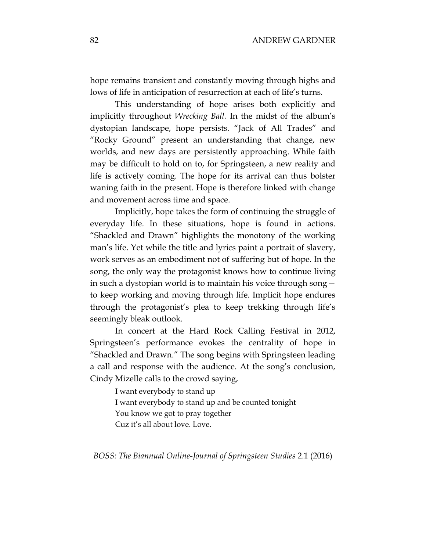hope remains transient and constantly moving through highs and lows of life in anticipation of resurrection at each of life's turns.

This understanding of hope arises both explicitly and implicitly throughout *Wrecking Ball.* In the midst of the album's dystopian landscape, hope persists. "Jack of All Trades" and "Rocky Ground" present an understanding that change, new worlds, and new days are persistently approaching. While faith may be difficult to hold on to, for Springsteen, a new reality and life is actively coming. The hope for its arrival can thus bolster waning faith in the present. Hope is therefore linked with change and movement across time and space.

Implicitly, hope takes the form of continuing the struggle of everyday life. In these situations, hope is found in actions. "Shackled and Drawn" highlights the monotony of the working man's life. Yet while the title and lyrics paint a portrait of slavery, work serves as an embodiment not of suffering but of hope. In the song, the only way the protagonist knows how to continue living in such a dystopian world is to maintain his voice through song to keep working and moving through life. Implicit hope endures through the protagonist's plea to keep trekking through life's seemingly bleak outlook.

In concert at the Hard Rock Calling Festival in 2012, Springsteen's performance evokes the centrality of hope in "Shackled and Drawn." The song begins with Springsteen leading a call and response with the audience. At the song's conclusion, Cindy Mizelle calls to the crowd saying,

> I want everybody to stand up I want everybody to stand up and be counted tonight You know we got to pray together Cuz it's all about love. Love.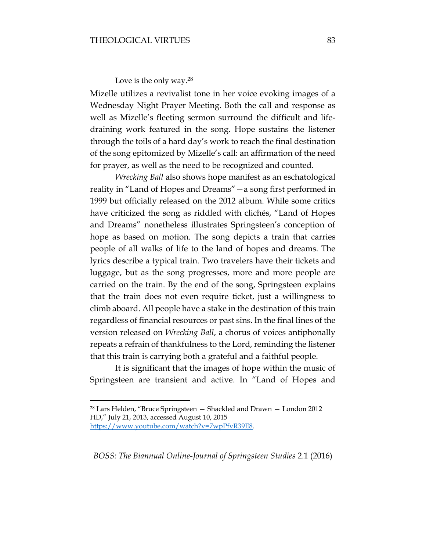#### Love is the only way.<sup>28</sup>

Mizelle utilizes a revivalist tone in her voice evoking images of a Wednesday Night Prayer Meeting. Both the call and response as well as Mizelle's fleeting sermon surround the difficult and lifedraining work featured in the song. Hope sustains the listener through the toils of a hard day's work to reach the final destination of the song epitomized by Mizelle's call: an affirmation of the need for prayer, as well as the need to be recognized and counted.

*Wrecking Ball* also shows hope manifest as an eschatological reality in "Land of Hopes and Dreams"—a song first performed in 1999 but officially released on the 2012 album. While some critics have criticized the song as riddled with clichés, "Land of Hopes and Dreams" nonetheless illustrates Springsteen's conception of hope as based on motion. The song depicts a train that carries people of all walks of life to the land of hopes and dreams. The lyrics describe a typical train. Two travelers have their tickets and luggage, but as the song progresses, more and more people are carried on the train. By the end of the song, Springsteen explains that the train does not even require ticket, just a willingness to climb aboard. All people have a stake in the destination of this train regardless of financial resources or past sins. In the final lines of the version released on *Wrecking Ball*, a chorus of voices antiphonally repeats a refrain of thankfulness to the Lord, reminding the listener that this train is carrying both a grateful and a faithful people.

It is significant that the images of hope within the music of Springsteen are transient and active. In "Land of Hopes and

 $\overline{a}$ 

<sup>28</sup> Lars Helden, "Bruce Springsteen — Shackled and Drawn — London 2012 HD," July 21, 2013, accessed August 10, 2015

[https://www.youtube.com/watch?v=7wpPfvR39E8.](https://www.youtube.com/watch?v=7wpPfvR39E8)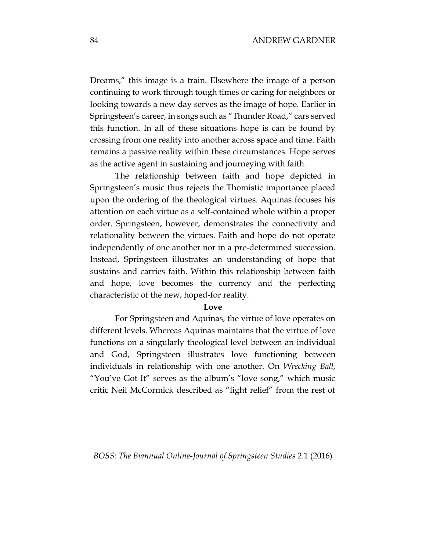Dreams," this image is a train. Elsewhere the image of a person continuing to work through tough times or caring for neighbors or looking towards a new day serves as the image of hope. Earlier in Springsteen's career, in songs such as "Thunder Road," cars served this function. In all of these situations hope is can be found by crossing from one reality into another across space and time. Faith remains a passive reality within these circumstances. Hope serves as the active agent in sustaining and journeying with faith.

The relationship between faith and hope depicted in Springsteen's music thus rejects the Thomistic importance placed upon the ordering of the theological virtues. Aquinas focuses his attention on each virtue as a self-contained whole within a proper order. Springsteen, however, demonstrates the connectivity and relationality between the virtues. Faith and hope do not operate independently of one another nor in a pre-determined succession. Instead, Springsteen illustrates an understanding of hope that sustains and carries faith. Within this relationship between faith and hope, love becomes the currency and the perfecting characteristic of the new, hoped-for reality.

#### **Love**

For Springsteen and Aquinas, the virtue of love operates on different levels. Whereas Aquinas maintains that the virtue of love functions on a singularly theological level between an individual and God, Springsteen illustrates love functioning between individuals in relationship with one another. On *Wrecking Ball,*  "You've Got It" serves as the album's "love song," which music critic Neil McCormick described as "light relief" from the rest of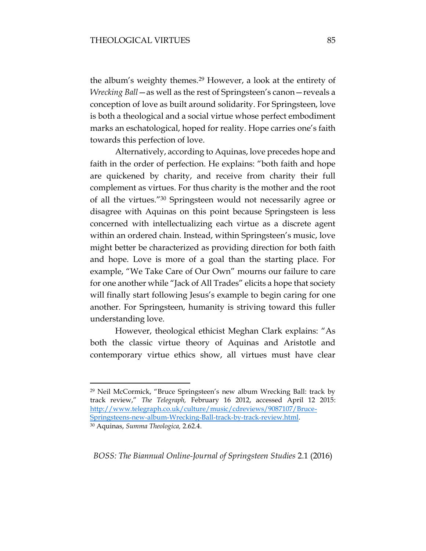$\overline{a}$ 

the album's weighty themes.<sup>29</sup> However, a look at the entirety of *Wrecking Ball*—as well as the rest of Springsteen's canon—reveals a conception of love as built around solidarity. For Springsteen, love is both a theological and a social virtue whose perfect embodiment marks an eschatological, hoped for reality. Hope carries one's faith towards this perfection of love.

Alternatively, according to Aquinas, love precedes hope and faith in the order of perfection. He explains: "both faith and hope are quickened by charity, and receive from charity their full complement as virtues. For thus charity is the mother and the root of all the virtues."<sup>30</sup> Springsteen would not necessarily agree or disagree with Aquinas on this point because Springsteen is less concerned with intellectualizing each virtue as a discrete agent within an ordered chain. Instead, within Springsteen's music, love might better be characterized as providing direction for both faith and hope. Love is more of a goal than the starting place. For example, "We Take Care of Our Own" mourns our failure to care for one another while "Jack of All Trades" elicits a hope that society will finally start following Jesus's example to begin caring for one another. For Springsteen, humanity is striving toward this fuller understanding love.

However, theological ethicist Meghan Clark explains: "As both the classic virtue theory of Aquinas and Aristotle and contemporary virtue ethics show, all virtues must have clear

<sup>29</sup> Neil McCormick, "Bruce Springsteen's new album Wrecking Ball: track by track review," *The Telegraph,* February 16 2012, accessed April 12 2015: [http://www.telegraph.co.uk/culture/music/cdreviews/9087107/Bruce-](http://www.telegraph.co.uk/culture/music/cdreviews/9087107/Bruce-Springsteens-new-album-Wrecking-Ball-track-by-track-review.html)[Springsteens-new-album-Wrecking-Ball-track-by-track-review.html.](http://www.telegraph.co.uk/culture/music/cdreviews/9087107/Bruce-Springsteens-new-album-Wrecking-Ball-track-by-track-review.html)  <sup>30</sup> Aquinas, *Summa Theologica,* 2.62.4.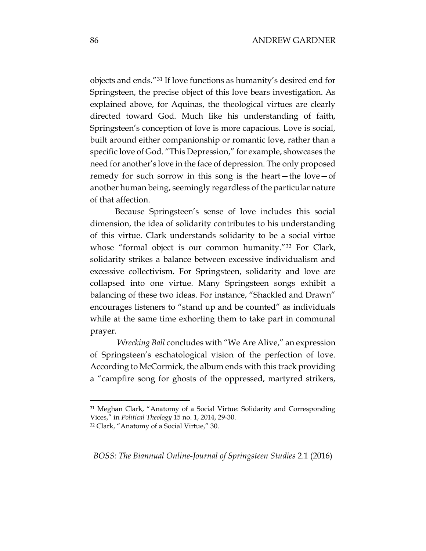objects and ends."<sup>31</sup> If love functions as humanity's desired end for Springsteen, the precise object of this love bears investigation. As explained above, for Aquinas, the theological virtues are clearly directed toward God. Much like his understanding of faith, Springsteen's conception of love is more capacious. Love is social, built around either companionship or romantic love, rather than a specific love of God. "This Depression," for example, showcases the need for another's love in the face of depression. The only proposed remedy for such sorrow in this song is the heart—the love—of another human being, seemingly regardless of the particular nature of that affection.

Because Springsteen's sense of love includes this social dimension, the idea of solidarity contributes to his understanding of this virtue. Clark understands solidarity to be a social virtue whose "formal object is our common humanity."<sup>32</sup> For Clark, solidarity strikes a balance between excessive individualism and excessive collectivism. For Springsteen, solidarity and love are collapsed into one virtue. Many Springsteen songs exhibit a balancing of these two ideas. For instance, "Shackled and Drawn" encourages listeners to "stand up and be counted" as individuals while at the same time exhorting them to take part in communal prayer.

*Wrecking Ball* concludes with "We Are Alive," an expression of Springsteen's eschatological vision of the perfection of love. According to McCormick, the album ends with this track providing a "campfire song for ghosts of the oppressed, martyred strikers,

 $\overline{a}$ 

<sup>31</sup> Meghan Clark, "Anatomy of a Social Virtue: Solidarity and Corresponding Vices," in *Political Theology* 15 no. 1, 2014, 29-30.

<sup>32</sup> Clark, "Anatomy of a Social Virtue," 30.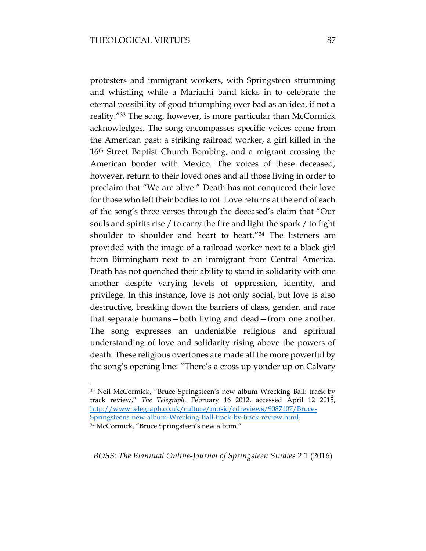$\overline{a}$ 

protesters and immigrant workers, with Springsteen strumming and whistling while a Mariachi band kicks in to celebrate the eternal possibility of good triumphing over bad as an idea, if not a reality."<sup>33</sup> The song, however, is more particular than McCormick acknowledges. The song encompasses specific voices come from the American past: a striking railroad worker, a girl killed in the 16<sup>th</sup> Street Baptist Church Bombing, and a migrant crossing the American border with Mexico. The voices of these deceased, however, return to their loved ones and all those living in order to proclaim that "We are alive." Death has not conquered their love for those who left their bodies to rot. Love returns at the end of each of the song's three verses through the deceased's claim that "Our souls and spirits rise / to carry the fire and light the spark / to fight shoulder to shoulder and heart to heart."<sup>34</sup> The listeners are provided with the image of a railroad worker next to a black girl from Birmingham next to an immigrant from Central America. Death has not quenched their ability to stand in solidarity with one another despite varying levels of oppression, identity, and privilege. In this instance, love is not only social, but love is also destructive, breaking down the barriers of class, gender, and race that separate humans—both living and dead—from one another. The song expresses an undeniable religious and spiritual understanding of love and solidarity rising above the powers of death. These religious overtones are made all the more powerful by the song's opening line: "There's a cross up yonder up on Calvary

<sup>33</sup> Neil McCormick, "Bruce Springsteen's new album Wrecking Ball: track by track review," *The Telegraph,* February 16 2012, accessed April 12 2015, [http://www.telegraph.co.uk/culture/music/cdreviews/9087107/Bruce-](http://www.telegraph.co.uk/culture/music/cdreviews/9087107/Bruce-Springsteens-new-album-Wrecking-Ball-track-by-track-review.html)[Springsteens-new-album-Wrecking-Ball-track-by-track-review.html.](http://www.telegraph.co.uk/culture/music/cdreviews/9087107/Bruce-Springsteens-new-album-Wrecking-Ball-track-by-track-review.html)  <sup>34</sup> McCormick, "Bruce Springsteen's new album."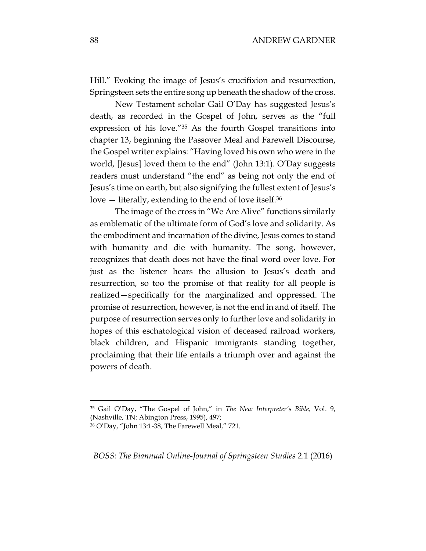Hill." Evoking the image of Jesus's crucifixion and resurrection, Springsteen sets the entire song up beneath the shadow of the cross.

New Testament scholar Gail O'Day has suggested Jesus's death, as recorded in the Gospel of John, serves as the "full expression of his love."<sup>35</sup> As the fourth Gospel transitions into chapter 13, beginning the Passover Meal and Farewell Discourse, the Gospel writer explains: "Having loved his own who were in the world, [Jesus] loved them to the end" (John 13:1). O'Day suggests readers must understand "the end" as being not only the end of Jesus's time on earth, but also signifying the fullest extent of Jesus's love – literally, extending to the end of love itself.<sup>36</sup>

The image of the cross in "We Are Alive" functions similarly as emblematic of the ultimate form of God's love and solidarity. As the embodiment and incarnation of the divine, Jesus comes to stand with humanity and die with humanity. The song, however, recognizes that death does not have the final word over love. For just as the listener hears the allusion to Jesus's death and resurrection, so too the promise of that reality for all people is realized—specifically for the marginalized and oppressed. The promise of resurrection, however, is not the end in and of itself. The purpose of resurrection serves only to further love and solidarity in hopes of this eschatological vision of deceased railroad workers, black children, and Hispanic immigrants standing together, proclaiming that their life entails a triumph over and against the powers of death.

<sup>35</sup> Gail O'Day, "The Gospel of John," in *The New Interpreter's Bible,* Vol. 9, (Nashville, TN: Abington Press, 1995), 497;

<sup>36</sup> O'Day, "John 13:1-38, The Farewell Meal," 721.

*BOSS: The Biannual Online-Journal of Springsteen Studies* 2.1 (2016)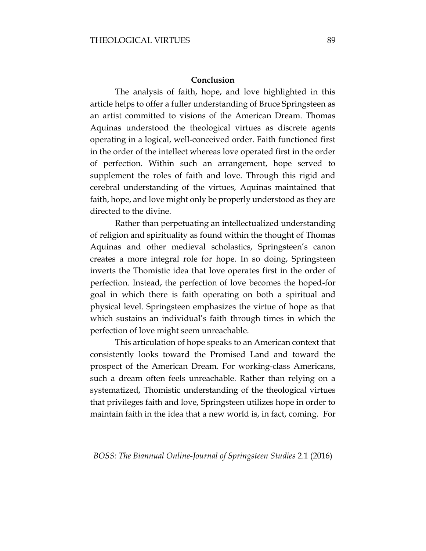## **Conclusion**

The analysis of faith, hope, and love highlighted in this article helps to offer a fuller understanding of Bruce Springsteen as an artist committed to visions of the American Dream. Thomas Aquinas understood the theological virtues as discrete agents operating in a logical, well-conceived order. Faith functioned first in the order of the intellect whereas love operated first in the order of perfection. Within such an arrangement, hope served to supplement the roles of faith and love. Through this rigid and cerebral understanding of the virtues, Aquinas maintained that faith, hope, and love might only be properly understood as they are directed to the divine.

Rather than perpetuating an intellectualized understanding of religion and spirituality as found within the thought of Thomas Aquinas and other medieval scholastics, Springsteen's canon creates a more integral role for hope. In so doing, Springsteen inverts the Thomistic idea that love operates first in the order of perfection. Instead, the perfection of love becomes the hoped-for goal in which there is faith operating on both a spiritual and physical level. Springsteen emphasizes the virtue of hope as that which sustains an individual's faith through times in which the perfection of love might seem unreachable.

This articulation of hope speaks to an American context that consistently looks toward the Promised Land and toward the prospect of the American Dream. For working-class Americans, such a dream often feels unreachable. Rather than relying on a systematized, Thomistic understanding of the theological virtues that privileges faith and love, Springsteen utilizes hope in order to maintain faith in the idea that a new world is, in fact, coming. For